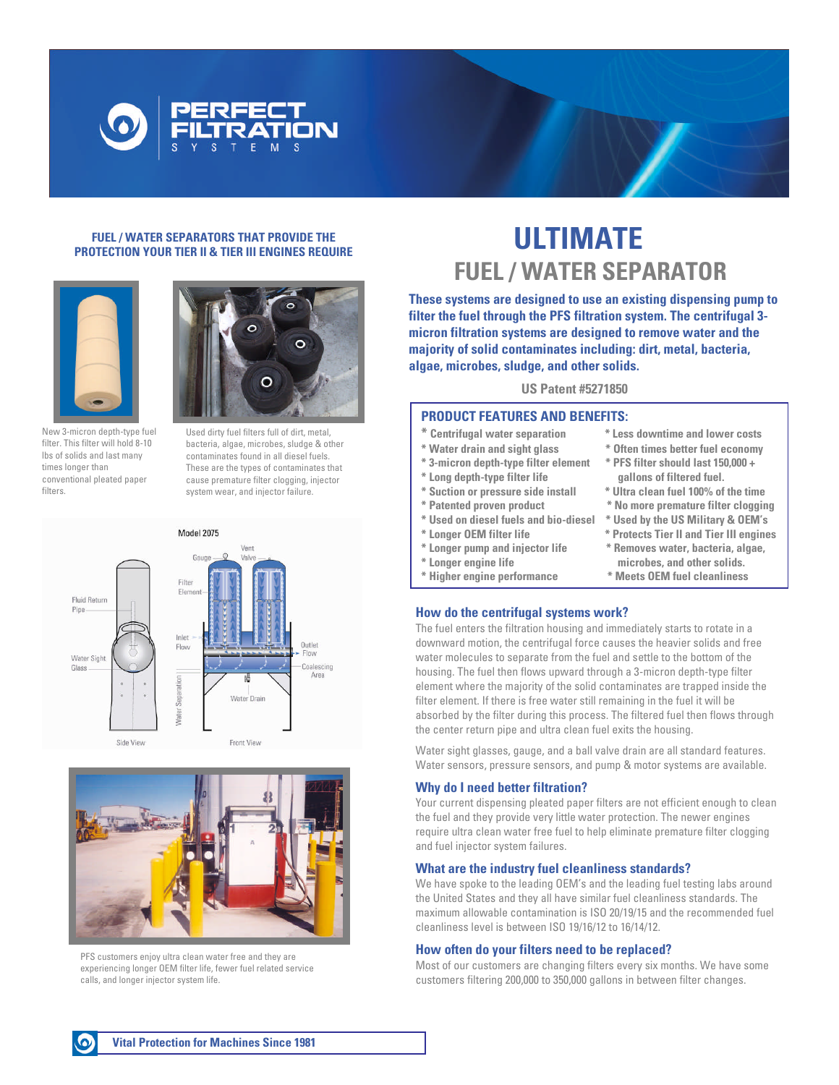

#### **FUEL / WATER SEPARATORS THAT PROVIDE THE PROTECTION YOUR TIER II & TIER III ENGINES REQUIRE**



New 3-micron depth-type fuel filter. This filter will hold 8-10 lbs of solids and last many times longer than conventional pleated paper filters.



Used dirty fuel filters full of dirt, metal, bacteria, algae, microbes, sludge & other contaminates found in all diesel fuels. These are the types of contaminates that cause premature filter clogging, injector system wear, and injector failure.





PFS customers enjoy ultra clean water free and they are experiencing longer OEM filter life, fewer fuel related service calls, and longer injector system life.

# **ULTIMATE FUEL / WATER SEPARATOR**

**These systems are designed to use an existing dispensing pump to filter the fuel through the PFS filtration system. The centrifugal 3 micron filtration systems are designed to remove water and the majority of solid contaminates including: dirt, metal, bacteria, algae, microbes, sludge, and other solids.**

#### **US Patent #5271850**

# **PRODUCT FEATURES AND BENEFITS:**

- 
- **\* 3-micron depth-type filter element \* PFS filter should last 150,000 +**
- 
- 
- 
- 
- 
- 
- 
- 
- **\* Centrifugal water separation \* Less downtime and lower costs**
- **\* Water drain and sight glass \* Often times better fuel economy**
- **\* Long depth-type filter life gallons of filtered fuel.**
- **\* Suction or pressure side install \* Ultra clean fuel 100% of the time**  $*$  No more premature filter clogging
	-
- **\* Used on diesel fuels and bio-diesel \*UsedbytheUSMilitary&OEM's**
- **\* Longer OEM filter life \* Protects Tier II and Tier III engines \* Longer pump and injector life \* Removes water, bacteria, algae,**
- **\* Longer engine life microbes, and other solids. \* Higher engine performance \* Meets OEM fuel cleanliness**

## **How do the centrifugal systems work?**

The fuel enters the filtration housing and immediately starts to rotate in a downward motion, the centrifugal force causes the heavier solids and free water molecules to separate from the fuel and settle to the bottom of the housing. The fuel then flows upward through a 3-micron depth-type filter element where the majority of the solid contaminates are trapped inside the filter element. If there is free water still remaining in the fuel it will be absorbed by the filter during this process. The filtered fuel then flows through the center return pipe and ultra clean fuel exits the housing.

Water sight glasses, gauge, and a ball valve drain are all standard features. Water sensors, pressure sensors, and pump & motor systems are available.

#### **Why do I need better filtration?**

Your current dispensing pleated paper filters are not efficient enough to clean the fuel and they provide very little water protection. The newer engines require ultra clean water free fuel to help eliminate premature filter clogging and fuel injector system failures.

#### **What are the industry fuel cleanliness standards?**

We have spoke to the leading OEM's and the leading fuel testing labs around the United States and they all have similar fuel cleanliness standards. The maximum allowable contamination is ISO 20/19/15 and the recommended fuel cleanliness level is between ISO 19/16/12 to 16/14/12.

#### **How often do your filters need to be replaced?**

Most of our customers are changing filters every six months. We have some customers filtering 200,000 to 350,000 gallons in between filter changes.